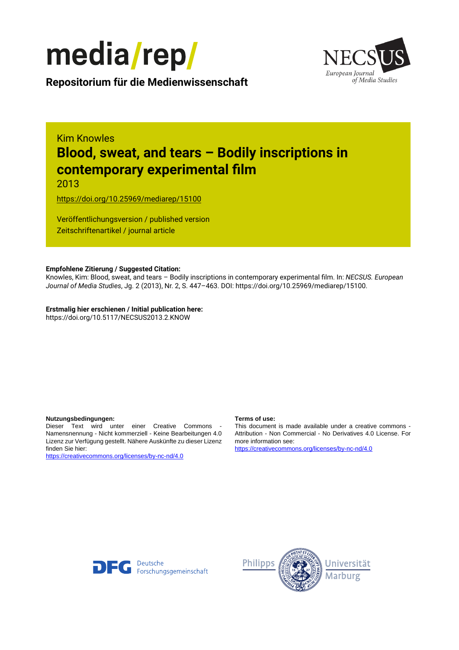



**Repositorium für die [Medienwissenschaft](https://mediarep.org)**

# Kim Knowles **Blood, sweat, and tears – Bodily inscriptions in contemporary experimental film**

2013

<https://doi.org/10.25969/mediarep/15100>

Veröffentlichungsversion / published version Zeitschriftenartikel / journal article

### **Empfohlene Zitierung / Suggested Citation:**

Knowles, Kim: Blood, sweat, and tears – Bodily inscriptions in contemporary experimental film. In: *NECSUS. European Journal of Media Studies*, Jg. 2 (2013), Nr. 2, S. 447–463. DOI: https://doi.org/10.25969/mediarep/15100.

**Erstmalig hier erschienen / Initial publication here:** https://doi.org/10.5117/NECSUS2013.2.KNOW

#### **Nutzungsbedingungen: Terms of use:**

Dieser Text wird unter einer Creative Commons - Namensnennung - Nicht kommerziell - Keine Bearbeitungen 4.0 Lizenz zur Verfügung gestellt. Nähere Auskünfte zu dieser Lizenz finden Sie hier:

<https://creativecommons.org/licenses/by-nc-nd/4.0>

This document is made available under a creative commons - Attribution - Non Commercial - No Derivatives 4.0 License. For more information see:

<https://creativecommons.org/licenses/by-nc-nd/4.0>



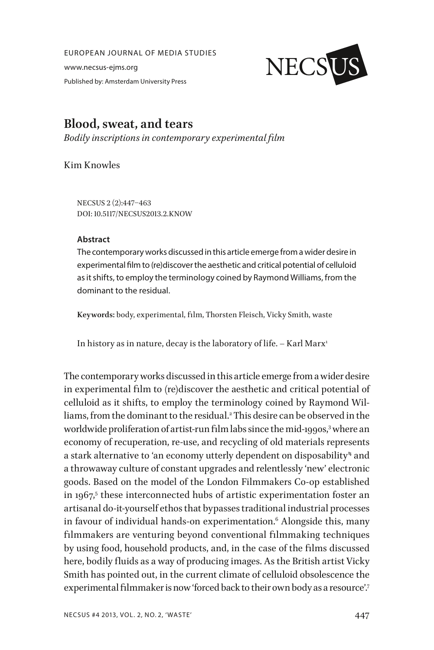EUROPEAN JOURNAL OF MEDIA STUDIES

www.necsus-ejms.org Published by: Amsterdam University Press



# **Blood, sweat, and tears**

*Bodily inscriptions in contemporary experimental film*

Kim Knowles

NECSUS 2 (2):447–463 DOI: 10.5117/NECSUS2013.2.KNOW

### **Abstract**

The contemporary works discussed in this article emerge from a wider desire in experimental film to (re)discover the aesthetic and critical potential of celluloid as it shifts, to employ the terminology coined by Raymond Williams, from the dominant to the residual.

**Keywords:** body, experimental, film, Thorsten Fleisch, Vicky Smith, waste

In history as in nature, decay is the laboratory of life.  $-$  Karl Marx<sup>1</sup>

The contemporary works discussed in this article emerge from a wider desire in experimental film to (re)discover the aesthetic and critical potential of celluloid as it shifts, to employ the terminology coined by Raymond Williams, from the dominant to the residual.2 This desire can be observed in the worldwide proliferation of artist-run film labs since the mid-1990s,<sup>3</sup> where an economy of recuperation, re-use, and recycling of old materials represents a stark alternative to 'an economy utterly dependent on disposability<del>'</del> and a throwaway culture of constant upgrades and relentlessly 'new' electronic goods. Based on the model of the London Filmmakers Co-op established in 1967,<sup>5</sup> these interconnected hubs of artistic experimentation foster an artisanal do-it-yourself ethos that bypasses traditional industrial processes in favour of individual hands-on experimentation.6 Alongside this, many filmmakers are venturing beyond conventional filmmaking techniques by using food, household products, and, in the case of the films discussed here, bodily fluids as a way of producing images. As the British artist Vicky Smith has pointed out, in the current climate of celluloid obsolescence the experimental filmmaker is now 'forced back to their own body as a resource'.7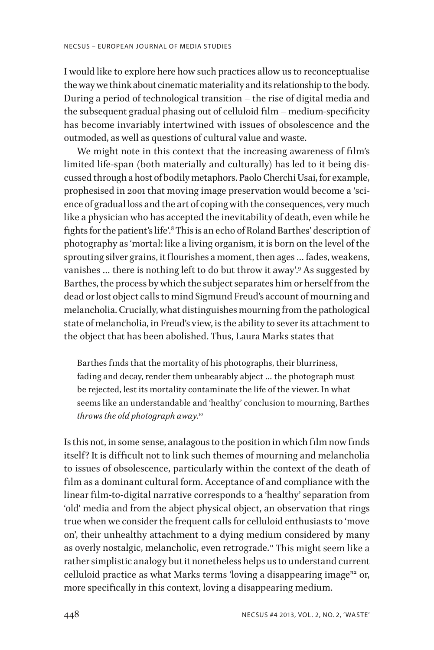I would like to explore here how such practices allow us to reconceptualise the way we think about cinematic materiality and its relationship to the body. During a period of technological transition – the rise of digital media and the subsequent gradual phasing out of celluloid film – medium-specificity has become invariably intertwined with issues of obsolescence and the outmoded, as well as questions of cultural value and waste.

We might note in this context that the increasing awareness of film's limited life-span (both materially and culturally) has led to it being discussed through a host of bodily metaphors. Paolo Cherchi Usai, for example, prophesised in 2001 that moving image preservation would become a 'science of gradual loss and the art of coping with the consequences, very much like a physician who has accepted the inevitability of death, even while he fights for the patient's life'.8 This is an echo of Roland Barthes' description of photography as 'mortal: like a living organism, it is born on the level of the sprouting silver grains, it flourishes a moment, then ages … fades, weakens, vanishes … there is nothing left to do but throw it away'.9 As suggested by Barthes, the process by which the subject separates him or herself from the dead or lost object calls to mind Sigmund Freud's account of mourning and melancholia. Crucially, what distinguishes mourning from the pathological state of melancholia, in Freud's view, is the ability to sever its attachment to the object that has been abolished. Thus, Laura Marks states that

Barthes finds that the mortality of his photographs, their blurriness, fading and decay, render them unbearably abject … the photograph must be rejected, lest its mortality contaminate the life of the viewer. In what seems like an understandable and 'healthy' conclusion to mourning, Barthes *throws the old photograph away*. 10

Is this not, in some sense, analagous to the position in which film now finds itself? It is difficult not to link such themes of mourning and melancholia to issues of obsolescence, particularly within the context of the death of film as a dominant cultural form. Acceptance of and compliance with the linear film-to-digital narrative corresponds to a 'healthy' separation from 'old' media and from the abject physical object, an observation that rings true when we consider the frequent calls for celluloid enthusiasts to 'move on', their unhealthy attachment to a dying medium considered by many as overly nostalgic, melancholic, even retrograde.<sup>11</sup> This might seem like a rather simplistic analogy but it nonetheless helps us to understand current celluloid practice as what Marks terms 'loving a disappearing image"<sup>2</sup> or, more specifically in this context, loving a disappearing medium.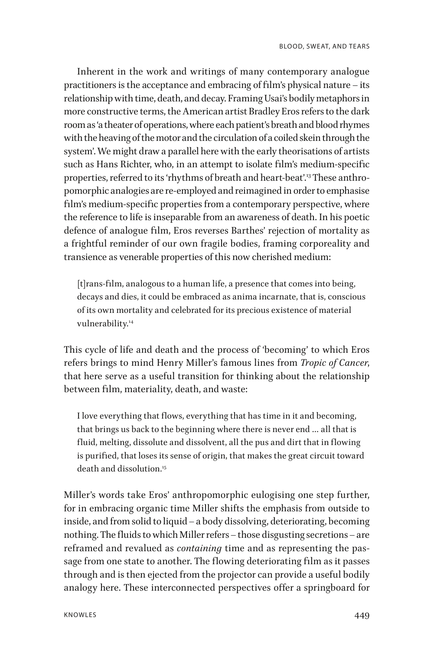Inherent in the work and writings of many contemporary analogue practitioners is the acceptance and embracing of film's physical nature – its relationship with time, death, and decay. Framing Usai's bodily metaphors in more constructive terms, the American artist Bradley Eros refers to the dark room as 'a theater of operations, where each patient's breath and blood rhymes with the heaving of the motor and the circulation of a coiled skein through the system'. We might draw a parallel here with the early theorisations of artists such as Hans Richter, who, in an attempt to isolate film's medium-specific properties, referred to its 'rhythms of breath and heart-beat'.<sup>13</sup> These anthropomorphic analogies are re-employed and reimagined in order to emphasise film's medium-specific properties from a contemporary perspective, where the reference to life is inseparable from an awareness of death. In his poetic defence of analogue film, Eros reverses Barthes' rejection of mortality as a frightful reminder of our own fragile bodies, framing corporeality and transience as venerable properties of this now cherished medium:

[t]rans-film, analogous to a human life, a presence that comes into being, decays and dies, it could be embraced as anima incarnate, that is, conscious of its own mortality and celebrated for its precious existence of material vulnerability.<sup>14</sup>

This cycle of life and death and the process of 'becoming' to which Eros refers brings to mind Henry Miller's famous lines from *Tropic of Cancer*, that here serve as a useful transition for thinking about the relationship between film, materiality, death, and waste:

I love everything that flows, everything that has time in it and becoming, that brings us back to the beginning where there is never end … all that is fluid, melting, dissolute and dissolvent, all the pus and dirt that in flowing is purified, that loses its sense of origin, that makes the great circuit toward death and dissolution<sup>15</sup>

Miller's words take Eros' anthropomorphic eulogising one step further, for in embracing organic time Miller shifts the emphasis from outside to inside, and from solid to liquid – a body dissolving, deteriorating, becoming nothing. The fluids to which Miller refers – those disgusting secretions – are reframed and revalued as *containing* time and as representing the passage from one state to another. The flowing deteriorating film as it passes through and is then ejected from the projector can provide a useful bodily analogy here. These interconnected perspectives offer a springboard for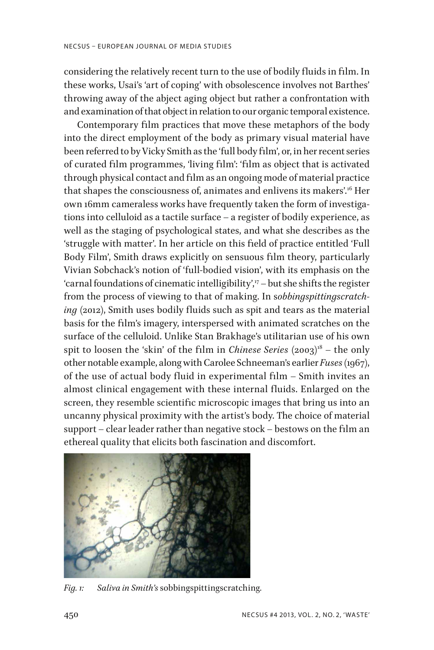considering the relatively recent turn to the use of bodily fluids in film. In these works, Usai's 'art of coping' with obsolescence involves not Barthes' throwing away of the abject aging object but rather a confrontation with and examination of that object in relation to our organic temporal existence.

Contemporary film practices that move these metaphors of the body into the direct employment of the body as primary visual material have been referred to by Vicky Smith as the 'full body film', or, in her recent series of curated film programmes, 'living film': 'film as object that is activated through physical contact and film as an ongoing mode of material practice that shapes the consciousness of, animates and enlivens its makers'.<sup>16</sup> Her own 16mm cameraless works have frequently taken the form of investigations into celluloid as a tactile surface – a register of bodily experience, as well as the staging of psychological states, and what she describes as the 'struggle with matter'. In her article on this field of practice entitled 'Full Body Film', Smith draws explicitly on sensuous film theory, particularly Vivian Sobchack's notion of 'full-bodied vision', with its emphasis on the 'carnal foundations of cinematic intelligibility', $\frac{1}{7}$  – but she shifts the register from the process of viewing to that of making. In s*obbingspittingscratching* (2012), Smith uses bodily fluids such as spit and tears as the material basis for the film's imagery, interspersed with animated scratches on the surface of the celluloid. Unlike Stan Brakhage's utilitarian use of his own spit to loosen the 'skin' of the film in *Chinese Series*  $(2003)^{18}$  – the only other notable example, along with Carolee Schneeman's earlier *Fuses* (1967), of the use of actual body fluid in experimental film – Smith invites an almost clinical engagement with these internal fluids. Enlarged on the screen, they resemble scientific microscopic images that bring us into an uncanny physical proximity with the artist's body. The choice of material support – clear leader rather than negative stock – bestows on the film an ethereal quality that elicits both fascination and discomfort.



*Fig. 1: Saliva in Smith's* sobbingspittingscratching*.*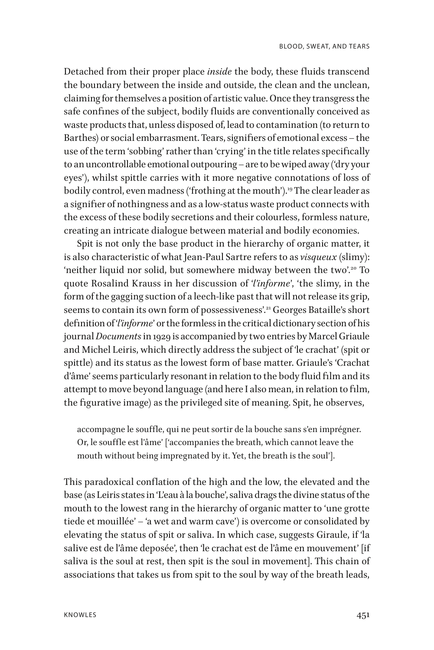Detached from their proper place *inside* the body, these fluids transcend the boundary between the inside and outside, the clean and the unclean, claiming for themselves a position of artistic value. Once they transgress the safe confines of the subject, bodily fluids are conventionally conceived as waste products that, unless disposed of, lead to contamination (to return to Barthes) or social embarrasment. Tears, signifiers of emotional excess – the use of the term 'sobbing' rather than 'crying' in the title relates specifically to an uncontrollable emotional outpouring – are to be wiped away ('dry your eyes'), whilst spittle carries with it more negative connotations of loss of bodily control, even madness ('frothing at the mouth').<sup>19</sup> The clear leader as a signifier of nothingness and as a low-status waste product connects with the excess of these bodily secretions and their colourless, formless nature, creating an intricate dialogue between material and bodily economies.

Spit is not only the base product in the hierarchy of organic matter, it is also characteristic of what Jean-Paul Sartre refers to as *visqueux* (slimy): 'neither liquid nor solid, but somewhere midway between the two'.<sup>20</sup> To quote Rosalind Krauss in her discussion of '*l'informe*', 'the slimy, in the form of the gagging suction of a leech-like past that will not release its grip, seems to contain its own form of possessiveness'.<sup>21</sup> Georges Bataille's short definition of '*l'informe*' or the formless in the critical dictionary section of his journal *Documents* in 1929 is accompanied by two entries by Marcel Griaule and Michel Leiris, which directly address the subject of 'le crachat' (spit or spittle) and its status as the lowest form of base matter. Griaule's 'Crachat d'âme' seems particularly resonant in relation to the body fluid film and its attempt to move beyond language (and here I also mean, in relation to film, the figurative image) as the privileged site of meaning. Spit, he observes,

accompagne le souffle, qui ne peut sortir de la bouche sans s'en imprégner. Or, le souffle est l'âme' ['accompanies the breath, which cannot leave the mouth without being impregnated by it. Yet, the breath is the soul'].

This paradoxical conflation of the high and the low, the elevated and the base (as Leiris states in 'L'eau à la bouche', saliva drags the divine status of the mouth to the lowest rang in the hierarchy of organic matter to 'une grotte tiede et mouillée' – 'a wet and warm cave') is overcome or consolidated by elevating the status of spit or saliva. In which case, suggests Giraule, if 'la salive est de l'âme deposée', then 'le crachat est de l'âme en mouvement' [if saliva is the soul at rest, then spit is the soul in movement]. This chain of associations that takes us from spit to the soul by way of the breath leads,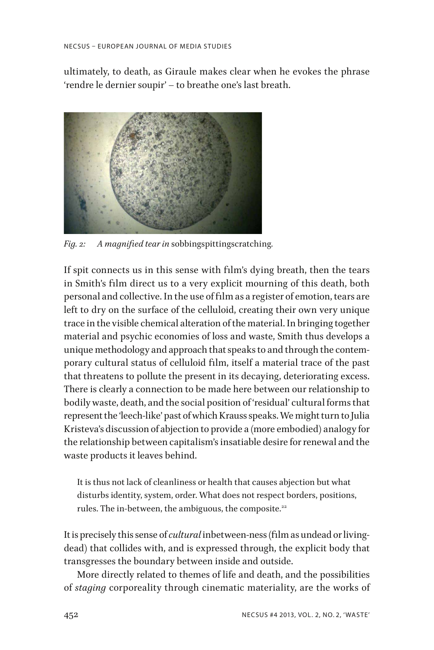ultimately, to death, as Giraule makes clear when he evokes the phrase 'rendre le dernier soupir' – to breathe one's last breath.



*Fig. 2: A magnified tear in* sobbingspittingscratching*.*

If spit connects us in this sense with film's dying breath, then the tears in Smith's film direct us to a very explicit mourning of this death, both personal and collective. In the use of film as a register of emotion, tears are left to dry on the surface of the celluloid, creating their own very unique trace in the visible chemical alteration of the material. In bringing together material and psychic economies of loss and waste, Smith thus develops a unique methodology and approach that speaks to and through the contemporary cultural status of celluloid film, itself a material trace of the past that threatens to pollute the present in its decaying, deteriorating excess. There is clearly a connection to be made here between our relationship to bodily waste, death, and the social position of 'residual' cultural forms that represent the 'leech-like' past of which Krauss speaks. We might turn to Julia Kristeva's discussion of abjection to provide a (more embodied) analogy for the relationship between capitalism's insatiable desire for renewal and the waste products it leaves behind.

It is thus not lack of cleanliness or health that causes abjection but what disturbs identity, system, order. What does not respect borders, positions, rules. The in-between, the ambiguous, the composite.<sup>22</sup>

It is precisely this sense of *cultural* inbetween-ness (film as undead or livingdead) that collides with, and is expressed through, the explicit body that transgresses the boundary between inside and outside.

More directly related to themes of life and death, and the possibilities of *staging* corporeality through cinematic materiality, are the works of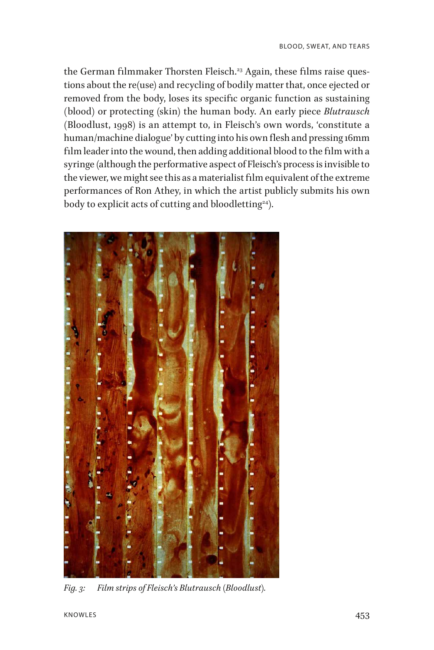the German filmmaker Thorsten Fleisch.<sup>23</sup> Again, these films raise questions about the re(use) and recycling of bodily matter that, once ejected or removed from the body, loses its specific organic function as sustaining (blood) or protecting (skin) the human body. An early piece *Blutrausch* (Bloodlust, 1998) is an attempt to, in Fleisch's own words, 'constitute a human/machine dialogue' by cutting into his own flesh and pressing 16mm film leader into the wound, then adding additional blood to the film with a syringe (although the performative aspect of Fleisch's process is invisible to the viewer, we might see this as a materialist film equivalent of the extreme performances of Ron Athey, in which the artist publicly submits his own body to explicit acts of cutting and bloodletting<sup>24</sup>).



*Fig. 3: Film strips of Fleisch's Blutrausch (Bloodlust).*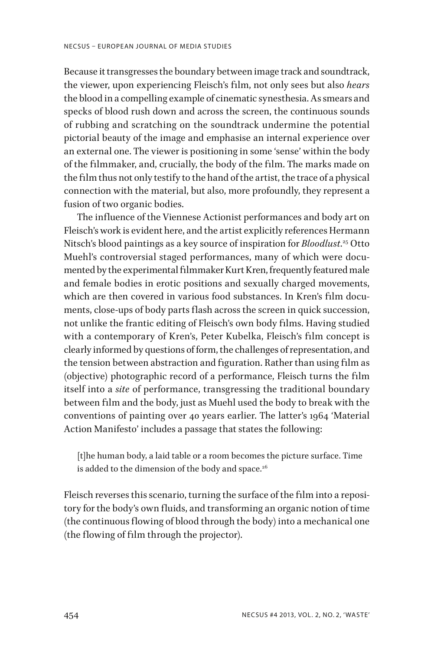Because it transgresses the boundary between image track and soundtrack, the viewer, upon experiencing Fleisch's film, not only sees but also *hears* the blood in a compelling example of cinematic synesthesia. As smears and specks of blood rush down and across the screen, the continuous sounds of rubbing and scratching on the soundtrack undermine the potential pictorial beauty of the image and emphasise an internal experience over an external one. The viewer is positioning in some 'sense' within the body of the filmmaker, and, crucially, the body of the film. The marks made on the film thus not only testify to the hand of the artist, the trace of a physical connection with the material, but also, more profoundly, they represent a fusion of two organic bodies.

The influence of the Viennese Actionist performances and body art on Fleisch's work is evident here, and the artist explicitly references Hermann Nitsch's blood paintings as a key source of inspiration for *Bloodlust*. 25 Otto Muehl's controversial staged performances, many of which were documented by the experimental filmmaker Kurt Kren, frequently featured male and female bodies in erotic positions and sexually charged movements, which are then covered in various food substances. In Kren's film documents, close-ups of body parts flash across the screen in quick succession, not unlike the frantic editing of Fleisch's own body films. Having studied with a contemporary of Kren's, Peter Kubelka, Fleisch's film concept is clearly informed by questions of form, the challenges of representation, and the tension between abstraction and figuration. Rather than using film as (objective) photographic record of a performance, Fleisch turns the film itself into a *site* of performance, transgressing the traditional boundary between film and the body, just as Muehl used the body to break with the conventions of painting over 40 years earlier. The latter's 1964 'Material Action Manifesto' includes a passage that states the following:

[t]he human body, a laid table or a room becomes the picture surface. Time is added to the dimension of the body and space.<sup>26</sup>

Fleisch reverses this scenario, turning the surface of the film into a repository for the body's own fluids, and transforming an organic notion of time (the continuous flowing of blood through the body) into a mechanical one (the flowing of film through the projector).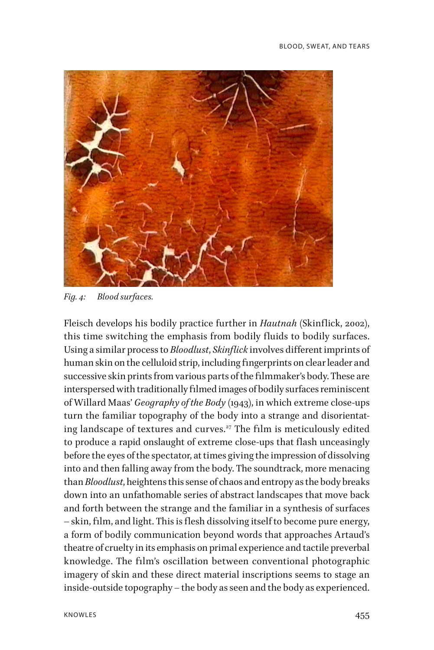

*Fig. 4: Blood surfaces.*

Fleisch develops his bodily practice further in *Hautnah* (Skinflick, 2002), this time switching the emphasis from bodily fluids to bodily surfaces. Using a similar process to *Bloodlust*, *Skinflick* involves different imprints of human skin on the celluloid strip, including fingerprints on clear leader and successive skin prints from various parts of the filmmaker's body. These are interspersed with traditionally filmed images of bodily surfaces reminiscent of Willard Maas' *Geography of the Body* (1943), in which extreme close-ups turn the familiar topography of the body into a strange and disorientating landscape of textures and curves.<sup> $27$ </sup> The film is meticulously edited to produce a rapid onslaught of extreme close-ups that flash unceasingly before the eyes of the spectator, at times giving the impression of dissolving into and then falling away from the body. The soundtrack, more menacing than *Bloodlust*, heightens this sense of chaos and entropy as the body breaks down into an unfathomable series of abstract landscapes that move back and forth between the strange and the familiar in a synthesis of surfaces – skin, film, and light. This is flesh dissolving itself to become pure energy, a form of bodily communication beyond words that approaches Artaud's theatre of cruelty in its emphasis on primal experience and tactile preverbal knowledge. The film's oscillation between conventional photographic imagery of skin and these direct material inscriptions seems to stage an inside-outside topography – the body as seen and the body as experienced.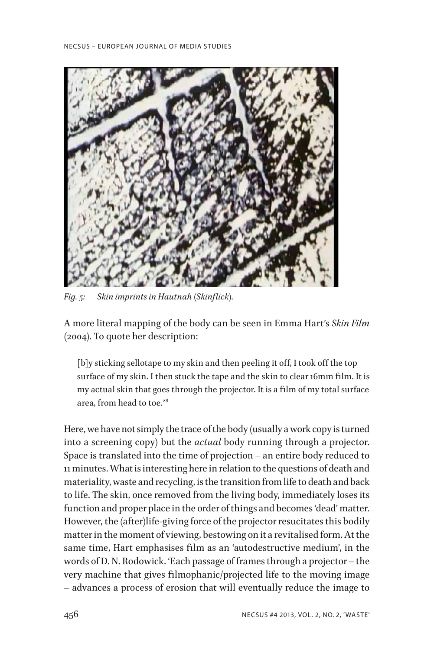

*Fig. 5: Skin imprints in Hautnah (Skinflick).*

A more literal mapping of the body can be seen in Emma Hart's *Skin Film*  (2004). To quote her description:

[b]y sticking sellotape to my skin and then peeling it off, I took off the top surface of my skin. I then stuck the tape and the skin to clear 16mm film. It is my actual skin that goes through the projector. It is a film of my total surface area, from head to toe.<sup>28</sup>

Here, we have not simply the trace of the body (usually a work copy is turned into a screening copy) but the *actual* body running through a projector. Space is translated into the time of projection – an entire body reduced to 11 minutes. What is interesting here in relation to the questions of death and materiality, waste and recycling, is the transition from life to death and back to life. The skin, once removed from the living body, immediately loses its function and proper place in the order of things and becomes 'dead' matter. However, the (after)life-giving force of the projector resucitates this bodily matter in the moment of viewing, bestowing on it a revitalised form. At the same time, Hart emphasises film as an 'autodestructive medium', in the words of D. N. Rodowick. 'Each passage of frames through a projector – the very machine that gives filmophanic/projected life to the moving image – advances a process of erosion that will eventually reduce the image to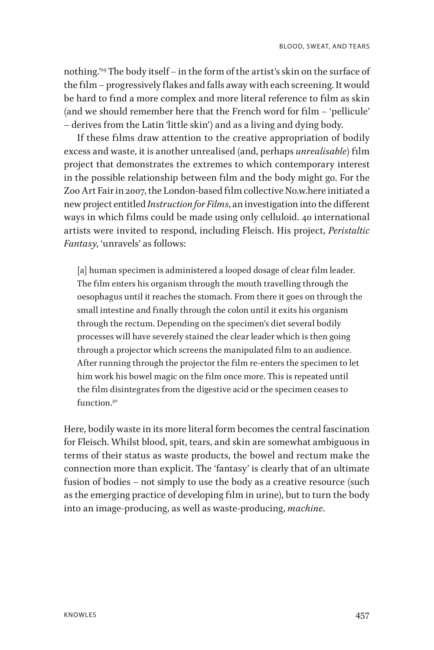nothing.'29 The body itself – in the form of the artist's skin on the surface of the film – progressively flakes and falls away with each screening. It would be hard to find a more complex and more literal reference to film as skin (and we should remember here that the French word for film – 'pellicule' – derives from the Latin 'little skin') and as a living and dying body.

If these films draw attention to the creative appropriation of bodily excess and waste, it is another unrealised (and, perhaps *unrealisable*) film project that demonstrates the extremes to which contemporary interest in the possible relationship between film and the body might go. For the Zoo Art Fair in 2007, the London-based film collective No.w.here initiated a new project entitled *Instruction for Films*, an investigation into the different ways in which films could be made using only celluloid. 40 international artists were invited to respond, including Fleisch. His project, *Peristaltic Fantasy*, 'unravels' as follows:

[a] human specimen is administered a looped dosage of clear film leader. The film enters his organism through the mouth travelling through the oesophagus until it reaches the stomach. From there it goes on through the small intestine and finally through the colon until it exits his organism through the rectum. Depending on the specimen's diet several bodily processes will have severely stained the clear leader which is then going through a projector which screens the manipulated film to an audience. After running through the projector the film re-enters the specimen to let him work his bowel magic on the film once more. This is repeated until the film disintegrates from the digestive acid or the specimen ceases to function<sup>30</sup>

Here, bodily waste in its more literal form becomes the central fascination for Fleisch. Whilst blood, spit, tears, and skin are somewhat ambiguous in terms of their status as waste products, the bowel and rectum make the connection more than explicit. The 'fantasy' is clearly that of an ultimate fusion of bodies – not simply to use the body as a creative resource (such as the emerging practice of developing film in urine), but to turn the body into an image-producing, as well as waste-producing, *machine*.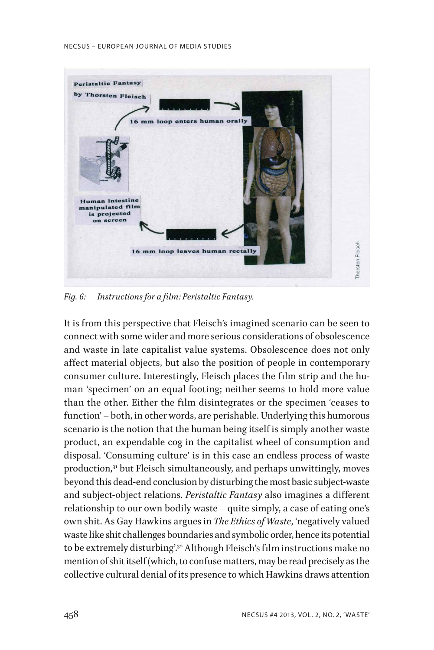#### NECSUS – EUROPEAN JOURNAL OF MEDIA STUDIES



*Fig. 6: Instructions for a film: Peristaltic Fantasy.*

It is from this perspective that Fleisch's imagined scenario can be seen to connect with some wider and more serious considerations of obsolescence and waste in late capitalist value systems. Obsolescence does not only affect material objects, but also the position of people in contemporary consumer culture. Interestingly, Fleisch places the film strip and the human 'specimen' on an equal footing; neither seems to hold more value than the other. Either the film disintegrates or the specimen 'ceases to function' – both, in other words, are perishable. Underlying this humorous scenario is the notion that the human being itself is simply another waste product, an expendable cog in the capitalist wheel of consumption and disposal. 'Consuming culture' is in this case an endless process of waste production,31 but Fleisch simultaneously, and perhaps unwittingly, moves beyond this dead-end conclusion by disturbing the most basic subject-waste and subject-object relations. *Peristaltic Fantasy* also imagines a different relationship to our own bodily waste – quite simply, a case of eating one's own shit. As Gay Hawkins argues in *The Ethics of Waste*, 'negatively valued waste like shit challenges boundaries and symbolic order, hence its potential to be extremely disturbing'.32 Although Fleisch's film instructions make no mention of shit itself (which, to confuse matters, may be read precisely as the collective cultural denial of its presence to which Hawkins draws attention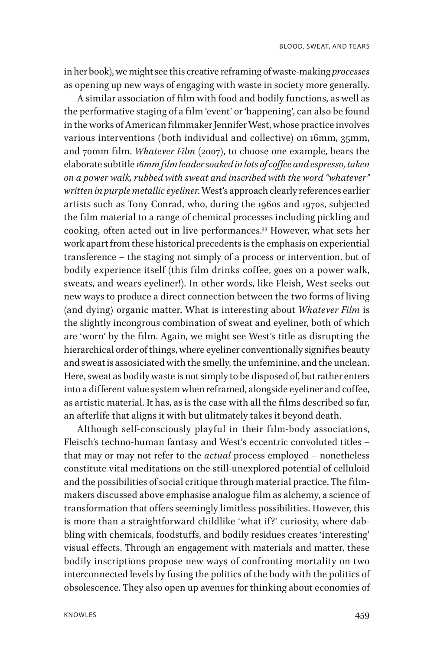in her book), we might see this creative reframing of waste-making *processes* as opening up new ways of engaging with waste in society more generally.

A similar association of film with food and bodily functions, as well as the performative staging of a film 'event' or 'happening', can also be found in the works of American filmmaker Jennifer West, whose practice involves various interventions (both individual and collective) on 16mm, 35mm, and 70mm film. *Whatever Film* (2007), to choose one example, bears the elaborate subtitle *16mm film leader soaked in lots of coffee and espresso, taken on a power walk, rubbed with sweat and inscribed with the word "whatever" written in purple metallic eyeliner*. West's approach clearly references earlier artists such as Tony Conrad, who, during the 1960s and 1970s, subjected the film material to a range of chemical processes including pickling and cooking, often acted out in live performances.33 However, what sets her work apart from these historical precedents is the emphasis on experiential transference – the staging not simply of a process or intervention, but of bodily experience itself (this film drinks coffee, goes on a power walk, sweats, and wears eyeliner!). In other words, like Fleish, West seeks out new ways to produce a direct connection between the two forms of living (and dying) organic matter. What is interesting about *Whatever Film* is the slightly incongrous combination of sweat and eyeliner, both of which are 'worn' by the film. Again, we might see West's title as disrupting the hierarchical order of things, where eyeliner conventionally signifies beauty and sweat is assosiciated with the smelly, the unfeminine, and the unclean. Here, sweat as bodily waste is not simply to be disposed of, but rather enters into a different value system when reframed, alongside eyeliner and coffee, as artistic material. It has, as is the case with all the films described so far, an afterlife that aligns it with but ulitmately takes it beyond death.

Although self-consciously playful in their film-body associations, Fleisch's techno-human fantasy and West's eccentric convoluted titles – that may or may not refer to the *actual* process employed – nonetheless constitute vital meditations on the still-unexplored potential of celluloid and the possibilities of social critique through material practice. The filmmakers discussed above emphasise analogue film as alchemy, a science of transformation that offers seemingly limitless possibilities. However, this is more than a straightforward childlike 'what if?' curiosity, where dabbling with chemicals, foodstuffs, and bodily residues creates 'interesting' visual effects. Through an engagement with materials and matter, these bodily inscriptions propose new ways of confronting mortality on two interconnected levels by fusing the politics of the body with the politics of obsolescence. They also open up avenues for thinking about economies of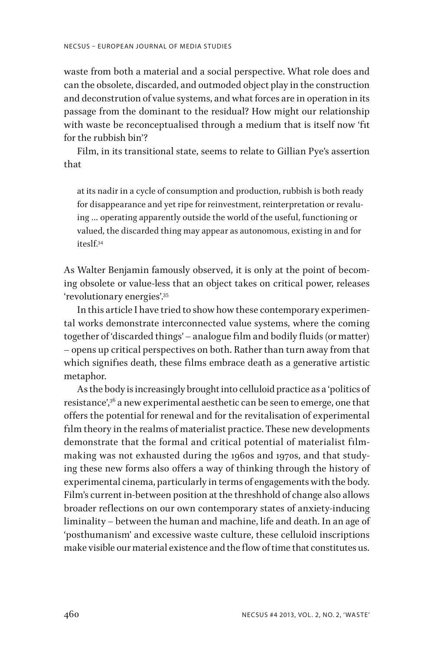waste from both a material and a social perspective. What role does and can the obsolete, discarded, and outmoded object play in the construction and deconstrution of value systems, and what forces are in operation in its passage from the dominant to the residual? How might our relationship with waste be reconceptualised through a medium that is itself now 'fit for the rubbish bin'?

Film, in its transitional state, seems to relate to Gillian Pye's assertion that

at its nadir in a cycle of consumption and production, rubbish is both ready for disappearance and yet ripe for reinvestment, reinterpretation or revaluing … operating apparently outside the world of the useful, functioning or valued, the discarded thing may appear as autonomous, existing in and for iteslf.34

As Walter Benjamin famously observed, it is only at the point of becoming obsolete or value-less that an object takes on critical power, releases 'revolutionary energies'.35

In this article I have tried to show how these contemporary experimental works demonstrate interconnected value systems, where the coming together of 'discarded things' – analogue film and bodily fluids (or matter) – opens up critical perspectives on both. Rather than turn away from that which signifies death, these films embrace death as a generative artistic metaphor.

As the body is increasingly brought into celluloid practice as a 'politics of resistance',<sup>36</sup> a new experimental aesthetic can be seen to emerge, one that offers the potential for renewal and for the revitalisation of experimental film theory in the realms of materialist practice. These new developments demonstrate that the formal and critical potential of materialist filmmaking was not exhausted during the 1960s and 1970s, and that studying these new forms also offers a way of thinking through the history of experimental cinema, particularly in terms of engagements with the body. Film's current in-between position at the threshhold of change also allows broader reflections on our own contemporary states of anxiety-inducing liminality – between the human and machine, life and death. In an age of 'posthumanism' and excessive waste culture, these celluloid inscriptions make visible our material existence and the flow of time that constitutes us.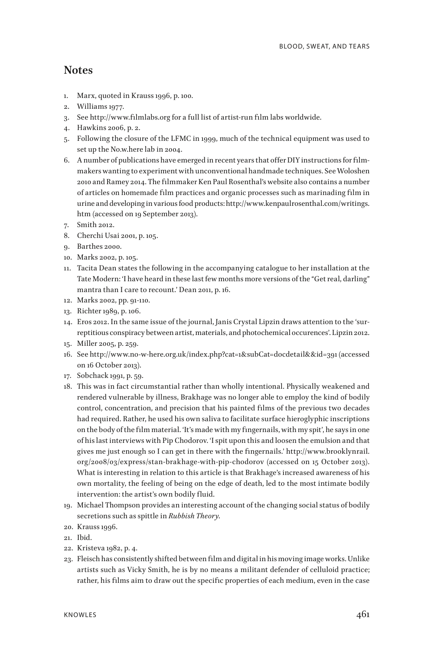### **Notes**

- 1. Marx, quoted in Krauss 1996, p. 100.
- 2. Williams 1977.
- 3. See http://www.filmlabs.org for a full list of artist-run film labs worldwide.
- 4. Hawkins 2006, p. 2.
- 5. Following the closure of the LFMC in 1999, much of the technical equipment was used to set up the No.w.here lab in 2004.
- 6. A number of publications have emerged in recent years that offer DIY instructions for filmmakers wanting to experiment with unconventional handmade techniques. See Woloshen 2010 and Ramey 2014. The filmmaker Ken Paul Rosenthal's website also contains a number of articles on homemade film practices and organic processes such as marinading film in urine and developing in various food products: http://www.kenpaulrosenthal.com/writings. htm (accessed on 19 September 2013).
- 7. Smith 2012.
- 8. Cherchi Usai 2001, p. 105.
- 9. Barthes 2000.
- 10. Marks 2002, p. 105.
- 11. Tacita Dean states the following in the accompanying catalogue to her installation at the Tate Modern: 'I have heard in these last few months more versions of the "Get real, darling" mantra than I care to recount.' Dean 2011, p. 16.
- 12. Marks 2002, pp. 91-110.
- 13. Richter 1989, p. 106.
- 14. Eros 2012. In the same issue of the journal, Janis Crystal Lipzin draws attention to the 'surreptitious conspiracy between artist, materials, and photochemical occurences'. Lipzin 2012.
- 15. Miller 2005, p. 259.
- 16. See http://www.no-w-here.org.uk/index.php?cat=1&subCat=docdetail&&id=391 (accessed on 16 October 2013).
- 17. Sobchack 1991, p. 59.
- 18. This was in fact circumstantial rather than wholly intentional. Physically weakened and rendered vulnerable by illness, Brakhage was no longer able to employ the kind of bodily control, concentration, and precision that his painted films of the previous two decades had required. Rather, he used his own saliva to facilitate surface hieroglyphic inscriptions on the body of the film material. 'It's made with my fingernails, with my spit', he says in one of his last interviews with Pip Chodorov. 'I spit upon this and loosen the emulsion and that gives me just enough so I can get in there with the fingernails.' http://www.brooklynrail. org/2008/03/express/stan-brakhage-with-pip-chodorov (accessed on 15 October 2013). What is interesting in relation to this article is that Brakhage's increased awareness of his own mortality, the feeling of being on the edge of death, led to the most intimate bodily intervention: the artist's own bodily fluid.
- 19. Michael Thompson provides an interesting account of the changing social status of bodily secretions such as spittle in *Rubbish Theory*.
- 20. Krauss 1996.
- 21. Ibid.
- 22. Kristeva 1982, p. 4.
- 23. Fleisch has consistently shifted between film and digital in his moving image works. Unlike artists such as Vicky Smith, he is by no means a militant defender of celluloid practice; rather, his films aim to draw out the specific properties of each medium, even in the case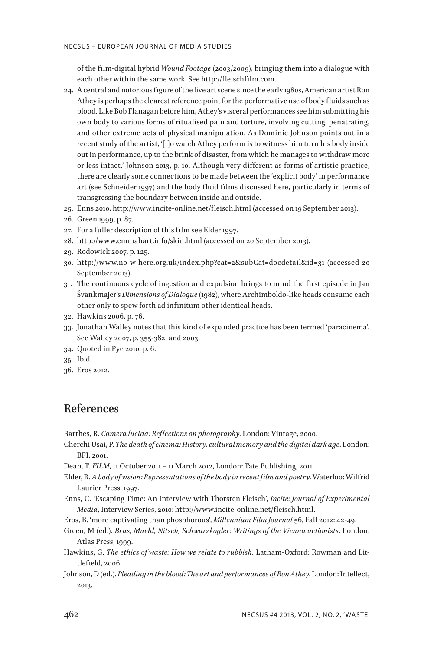#### NECSUS – EUROPEAN JOURNAL OF MEDIA STUDIES

of the film-digital hybrid *Wound Footage* (2003/2009), bringing them into a dialogue with each other within the same work. See http://fleischfilm.com.

- 24. A central and notorious figure of the live art scene since the early 1980s, American artist Ron Athey is perhaps the clearest reference point for the performative use of body fluids such as blood. Like Bob Flanagan before him, Athey's visceral performances see him submitting his own body to various forms of ritualised pain and torture, involving cutting, penatrating, and other extreme acts of physical manipulation. As Dominic Johnson points out in a recent study of the artist, '[t]o watch Athey perform is to witness him turn his body inside out in performance, up to the brink of disaster, from which he manages to withdraw more or less intact.' Johnson 2013, p. 10. Although very different as forms of artistic practice, there are clearly some connections to be made between the 'explicit body' in performance art (see Schneider 1997) and the body fluid films discussed here, particularly in terms of transgressing the boundary between inside and outside.
- 25. Enns 2010, http://www.incite-online.net/fleisch.html (accessed on 19 September 2013).
- 26. Green 1999, p. 87.
- 27. For a fuller description of this film see Elder 1997.
- 28. http://www.emmahart.info/skin.html (accessed on 20 September 2013).
- 29. Rodowick 2007, p. 125.
- 30. http://www.no-w-here.org.uk/index.php?cat=2&subCat=docdetail&id=31 (accessed 20 September 2013).
- 31. The continuous cycle of ingestion and expulsion brings to mind the first episode in Jan Švankmajer's *Dimensions of Dialogue* (1982), where Archimboldo-like heads consume each other only to spew forth ad infinitum other identical heads.
- 32. Hawkins 2006, p. 76.
- 33. Jonathan Walley notes that this kind of expanded practice has been termed 'paracinema'. See Walley 2007, p. 355-382, and 2003.
- 34. Quoted in Pye 2010, p. 6.
- 35. Ibid.
- 36. Eros 2012.

## **References**

Barthes, R. *Camera lucida: Reflections on photography*. London: Vintage, 2000.

- Cherchi Usai, P. *The death of cinema: History, cultural memory and the digital dark age*. London: BFI, 2001.
- Dean, T. *FILM*, 11 October 2011 11 March 2012, London: Tate Publishing, 2011.
- Elder, R. *A body of vision: Representations of the body in recent film and poetry*. Waterloo: Wilfrid Laurier Press, 1997.
- Enns, C. 'Escaping Time: An Interview with Thorsten Fleisch', *Incite: Journal of Experimental Media*, Interview Series, 2010: http://www.incite-online.net/fleisch.html.
- Eros, B. 'more captivating than phosphorous', *Millennium Film Journal* 56, Fall 2012: 42-49.
- Green, M (ed.). *Brus, Muehl, Nitsch, Schwarzkogler: Writings of the Vienna actionists*. London: Atlas Press, 1999.
- Hawkins, G. *The ethics of waste: How we relate to rubbish*. Latham-Oxford: Rowman and Littlefield, 2006.
- Johnson, D (ed.). *Pleading in the blood: The art and performances of Ron Athey*. London: Intellect, 2013.